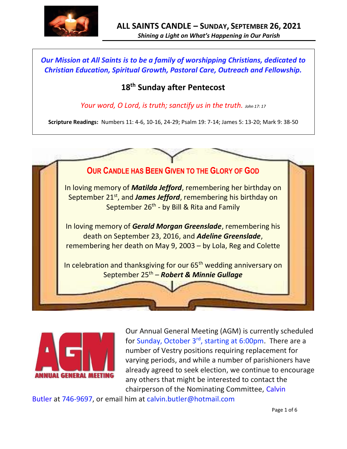

## *Our Mission at All Saints is to be a family of worshipping Christians, dedicated to Christian Education, Spiritual Growth, Pastoral Care, Outreach and Fellowship.*

# **18 th Sunday after Pentecost**

*Your word, O Lord, is truth; sanctify us in the truth. John 17: 17*

**Scripture Readings:** Numbers 11: 4-6, 10-16, 24-29; Psalm 19: 7-14; James 5: 13-20; Mark 9: 38-50





Our Annual General Meeting (AGM) is currently scheduled for Sunday, October 3<sup>rd</sup>, starting at 6:00pm. There are a number of Vestry positions requiring replacement for varying periods, and while a number of parishioners have already agreed to seek election, we continue to encourage any others that might be interested to contact the chairperson of the Nominating Committee, Calvin

Butler at 746-9697, or email him at calvin.butler@hotmail.com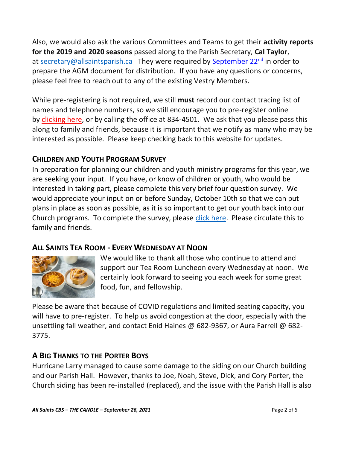Also, we would also ask the various Committees and Teams to get their **activity reports for the 2019 and 2020 seasons** passed along to the Parish Secretary, **Cal Taylor**, at [secretary@allsaintsparish.ca](mailto:secretary@allsaintsparish.caT) They were required by September 22<sup>nd</sup> in order to prepare the AGM document for distribution. If you have any questions or concerns, please feel free to reach out to any of the existing Vestry Members.

While pre-registering is not required, we still **must** record our contact tracing list of names and telephone numbers, so we still encourage you to pre-register online by [clicking here,](http://allsaintsparish.ca/covid-pre-registration-form_1) or by calling the office at 834-4501. We ask that you please pass this along to family and friends, because it is important that we notify as many who may be interested as possible. Please keep checking back to this website for updates.

## **CHILDREN AND YOUTH PROGRAM SURVEY**

In preparation for planning our children and youth ministry programs for this year, we are seeking your input. If you have, or know of children or youth, who would be interested in taking part, please complete this very brief four question survey. We would appreciate your input on or before Sunday, October 10th so that we can put plans in place as soon as possible, as it is so important to get our youth back into our Church programs. To complete the survey, please [click here.](https://www.surveymonkey.com/r/9Z8L59K) Please circulate this to family and friends.

## **ALL SAINTS TEA ROOM - EVERY WEDNESDAY AT NOON**



We would like to thank all those who continue to attend and support our Tea Room Luncheon every Wednesday at noon. We certainly look forward to seeing you each week for some great food, fun, and fellowship.

Please be aware that because of COVID regulations and limited seating capacity, you will have to pre-register. To help us avoid congestion at the door, especially with the unsettling fall weather, and contact Enid Haines @ 682-9367, or Aura Farrell @ 682- 3775.

## **A BIG THANKS TO THE PORTER BOYS**

Hurricane Larry managed to cause some damage to the siding on our Church building and our Parish Hall. However, thanks to Joe, Noah, Steve, Dick, and Cory Porter, the Church siding has been re-installed (replaced), and the issue with the Parish Hall is also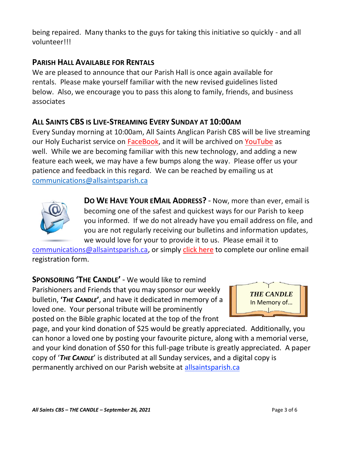being repaired. Many thanks to the guys for taking this initiative so quickly - and all volunteer!!!

## **PARISH HALL AVAILABLE FOR RENTALS**

We are pleased to announce that our Parish Hall is once again available for rentals. Please make yourself familiar with the new revised guidelines listed below. Also, we encourage you to pass this along to family, friends, and business associates

## **ALL SAINTS CBS IS LIVE-STREAMING EVERY SUNDAY AT 10:00AM**

Every Sunday morning at 10:00am, All Saints Anglican Parish CBS will be live streaming our Holy Eucharist service on [FaceBook,](https://www.facebook.com/AllSaintsAnglicanChurchCBS) and it will be archived on [YouTube](https://www.youtube.com/results?search_query=all+saints+anglican+parish+cbs) as well. While we are becoming familiar with this new technology, and adding a new feature each week, we may have a few bumps along the way. Please offer us your patience and feedback in this regard. We can be reached by emailing us at [communications@allsaintsparish.ca](mailto:communications@allsaintsparish.ca?subject=Live%20Streaming%20Feedback)



**DO WE HAVE YOUR EMAIL ADDRESS?** - Now, more than ever, email is becoming one of the safest and quickest ways for our Parish to keep you informed. If we do not already have you email address on file, and you are not regularly receiving our bulletins and information updates, we would love for your to provide it to us. Please email it to

[communications@allsaintsparish.ca,](mailto:communications@allsaintsparish.ca?subject=eMail%20Address%20Update) or simply [click here](http://allsaintsparish.ca/email_updates) to complete our online email registration form.

**SPONSORING 'THE CANDLE'** - We would like to remind Parishioners and Friends that you may sponsor our weekly bulletin, **'***THE CANDLE***'**, and have it dedicated in memory of a loved one. Your personal tribute will be prominently posted on the Bible graphic located at the top of the front



page, and your kind donation of \$25 would be greatly appreciated. Additionally, you can honor a loved one by posting your favourite picture, along with a memorial verse, and your kind donation of \$50 for this full-page tribute is greatly appreciated. A paper copy of '*THE CANDLE*' is distributed at all Sunday services, and a digital copy is permanently archived on our Parish website at [allsaintsparish.ca](http://allsaintsparish.ca/thecandle.html)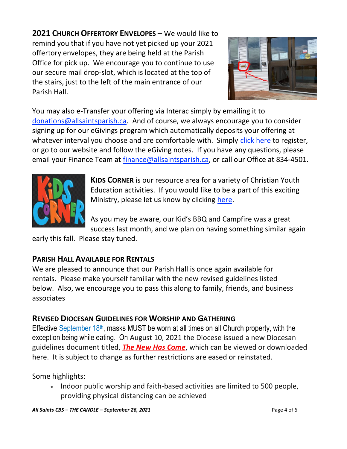**2021 CHURCH OFFERTORY ENVELOPES** – We would like to remind you that if you have not yet picked up your 2021 offertory envelopes, they are being held at the Parish Office for pick up. We encourage you to continue to use our secure mail drop-slot, which is located at the top of the stairs, just to the left of the main entrance of our Parish Hall.



You may also e-Transfer your offering via Interac simply by emailing it to [donations@allsaintsparish.ca.](mailto:donations@allsaintsparish.ca) And of course, we always encourage you to consider signing up for our eGivings program which automatically deposits your offering at whatever interval you choose and are comfortable with. Simply [click here](http://allsaintsparish.ca/egiving-online-information-form) to register, or go to our website and follow the eGiving notes. If you have [any](https://wfsites-to.websitecreatorprotool.com/870a5dd5.com/Admin/%7BSK_NODEID__22939341__SK%7D) questions, please email your Finance Team at [finance@allsaintsparish.ca,](mailto:finance@allsaintsparish.ca) or call our Office at 834-4501.



**KIDS CORNER** is our resource area for a variety of Christian Youth Education activities. If you would like to be a part of this exciting Ministry, please let us know by clicking [here.](http://allsaintsparish.ca/index.html#comments)

As you may be aware, our Kid's BBQ and Campfire was a great success last month, and we plan on having something similar again

early this fall. Please stay tuned.

## **PARISH HALL AVAILABLE FOR RENTALS**

We are pleased to announce that our Parish Hall is once again available for rentals. Please make yourself familiar with the new revised guidelines listed below. Also, we encourage you to pass this along to family, friends, and business associates

## **REVISED DIOCESAN GUIDELINES FOR WORSHIP AND GATHERING**

Effective September  $18<sup>th</sup>$ , masks MUST be worn at all times on all Church property, with the exception being while eating. On August 10, 2021 the Diocese issued a new Diocesan guidelines document titled, *[The New Has Come](https://anglicanenl.net/home/wp-content/uploads/2021/08/The-New-Has-Come-August-10-2021.pdf?fbclid=IwAR2_9nhbxB2LEc3XOqAP_nvoRu4G5Mt6NWIYwOEYNI0OtUl0atv2QwCfCY0)*, which can be viewed or downloaded here. It is subject to change as further restrictions are eased or reinstated.

Some highlights:

• Indoor public worship and faith-based activities are limited to 500 people, providing physical distancing can be achieved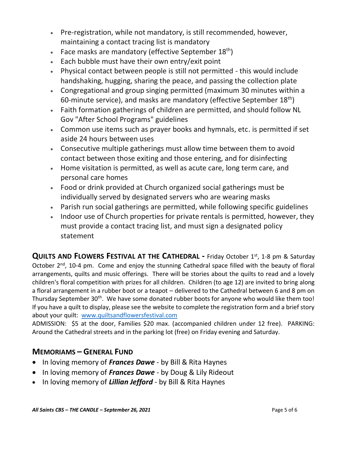- Pre-registration, while not mandatory, is still recommended, however, maintaining a contact tracing list is mandatory
- Face masks are mandatory (effective September  $18<sup>th</sup>$ )
- Each bubble must have their own entry/exit point
- Physical contact between people is still not permitted this would include handshaking, hugging, sharing the peace, and passing the collection plate
- Congregational and group singing permitted (maximum 30 minutes within a 60-minute service), and masks are mandatory (effective September  $18<sup>th</sup>$ )
- Faith formation gatherings of children are permitted, and should follow NL Gov "After School Programs" guidelines
- Common use items such as prayer books and hymnals, etc. is permitted if set aside 24 hours between uses
- Consecutive multiple gatherings must allow time between them to avoid contact between those exiting and those entering, and for disinfecting
- Home visitation is permitted, as well as acute care, long term care, and personal care homes
- Food or drink provided at Church organized social gatherings must be individually served by designated servers who are wearing masks
- Parish run social gatherings are permitted, while following specific guidelines
- Indoor use of Church properties for private rentals is permitted, however, they must provide a contact tracing list, and must sign a designated policy statement

**QUILTS AND FLOWERS FESTIVAL AT THE CATHEDRAL -** Friday October 1st, 1-8 pm & Saturday October  $2^{nd}$ , 10-4 pm. Come and enjoy the stunning Cathedral space filled with the beauty of floral arrangements, quilts and music offerings. There will be stories about the quilts to read and a lovely children's floral competition with prizes for all children. Children (to age 12) are invited to bring along a floral arrangement in a rubber boot or a teapot – delivered to the Cathedral between 6 and 8 pm on Thursday September 30<sup>th</sup>. We have some donated rubber boots for anyone who would like them too! If you have a quilt to display, please see the website to complete the registration form and a brief story about your quilt: [www.quiltsandflowersfestival.com](http://www.quiltsandflowersfestival.com/)

ADMISSION: \$5 at the door, Families \$20 max. (accompanied children under 12 free). PARKING: Around the Cathedral streets and in the parking lot (free) on Friday evening and Saturday.

## **MEMORIAMS – GENERAL FUND**

- In loving memory of *Frances Dawe* by Bill & Rita Haynes
- In loving memory of *Frances Dawe* by Doug & Lily Rideout
- In loving memory of *Lillian Jefford* by Bill & Rita Haynes